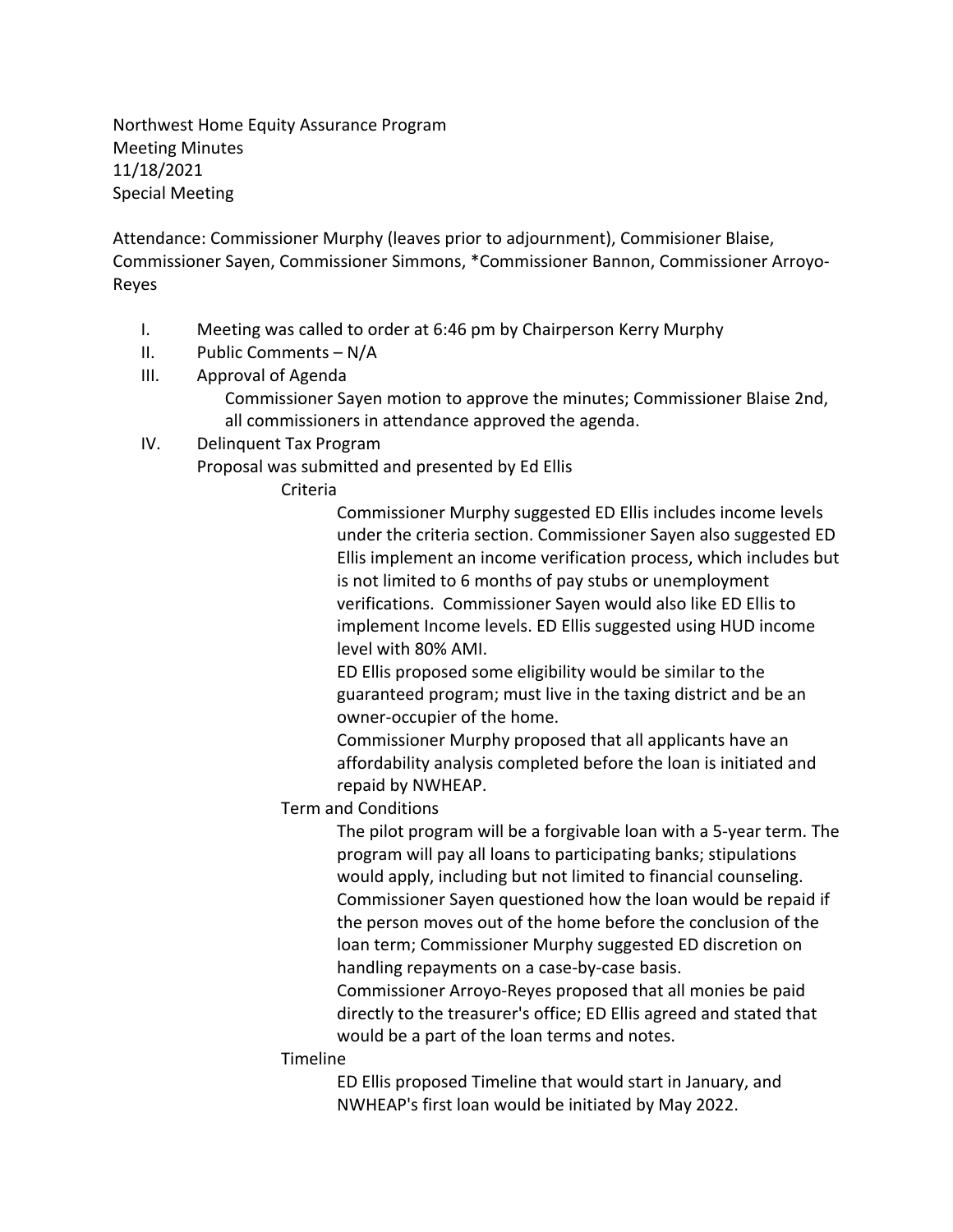Northwest Home Equity Assurance Program Meeting Minutes 11/18/2021 Special Meeting

Attendance: Commissioner Murphy (leaves prior to adjournment), Commisioner Blaise, Commissioner Sayen, Commissioner Simmons, \*Commissioner Bannon, Commissioner Arroyo-Reyes

- I. Meeting was called to order at 6:46 pm by Chairperson Kerry Murphy
- II. Public Comments N/A
- III. Approval of Agenda Commissioner Sayen motion to approve the minutes; Commissioner Blaise 2nd, all commissioners in attendance approved the agenda.
- IV. Delinquent Tax Program

Proposal was submitted and presented by Ed Ellis

Criteria

Commissioner Murphy suggested ED Ellis includes income levels under the criteria section. Commissioner Sayen also suggested ED Ellis implement an income verification process, which includes but is not limited to 6 months of pay stubs or unemployment verifications. Commissioner Sayen would also like ED Ellis to implement Income levels. ED Ellis suggested using HUD income level with 80% AMI.

ED Ellis proposed some eligibility would be similar to the guaranteed program; must live in the taxing district and be an owner-occupier of the home.

Commissioner Murphy proposed that all applicants have an affordability analysis completed before the loan is initiated and repaid by NWHEAP.

Term and Conditions

The pilot program will be a forgivable loan with a 5-year term. The program will pay all loans to participating banks; stipulations would apply, including but not limited to financial counseling. Commissioner Sayen questioned how the loan would be repaid if the person moves out of the home before the conclusion of the loan term; Commissioner Murphy suggested ED discretion on handling repayments on a case-by-case basis.

Commissioner Arroyo-Reyes proposed that all monies be paid directly to the treasurer's office; ED Ellis agreed and stated that would be a part of the loan terms and notes.

## Timeline

ED Ellis proposed Timeline that would start in January, and NWHEAP's first loan would be initiated by May 2022.